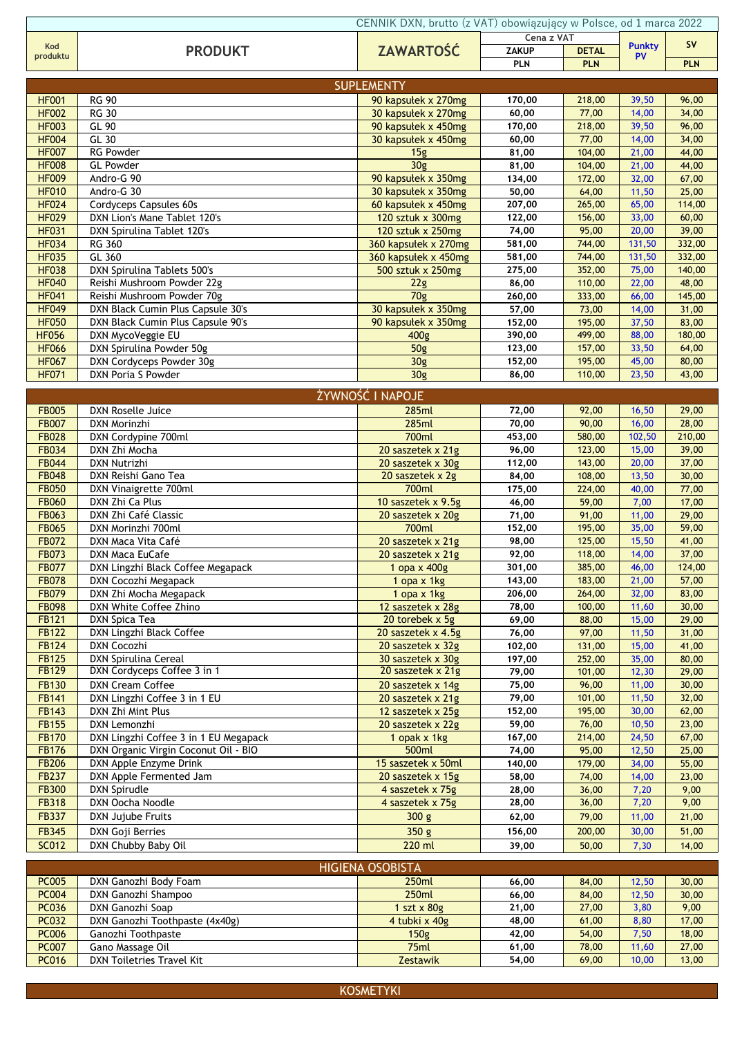| CENNIK DXN, brutto (z VAT) obowiązujący w Polsce, od 1 marca 2022 |                                              |                                           |                 |                  |                            |                 |  |  |
|-------------------------------------------------------------------|----------------------------------------------|-------------------------------------------|-----------------|------------------|----------------------------|-----------------|--|--|
|                                                                   |                                              |                                           | Cena z VAT      |                  |                            |                 |  |  |
| Kod<br>produktu                                                   | <b>PRODUKT</b>                               | <b>ZAWARTOŚĆ</b>                          | ZAKUP           | <b>DETAL</b>     | <b>Punkty</b><br><b>PV</b> | <b>SV</b>       |  |  |
|                                                                   |                                              |                                           | <b>PLN</b>      | <b>PLN</b>       |                            | <b>PLN</b>      |  |  |
| <b>SUPLEMENTY</b>                                                 |                                              |                                           |                 |                  |                            |                 |  |  |
| <b>HF001</b>                                                      | <b>RG 90</b>                                 | 90 kapsułek x 270mg                       | 170,00          | 218,00           | 39,50                      | 96,00           |  |  |
| <b>HF002</b>                                                      | <b>RG 30</b>                                 | 30 kapsułek x 270mg                       | 60,00           | 77,00            | 14,00                      | 34,00           |  |  |
| <b>HF003</b>                                                      | GL 90                                        | 90 kapsułek x 450mg                       | 170,00          | 218,00           | 39,50                      | 96,00           |  |  |
| <b>HF004</b>                                                      | GL 30                                        | 30 kapsułek x 450mg                       | 60,00           | 77,00            | 14,00                      | 34,00           |  |  |
| <b>HF007</b>                                                      | RG Powder                                    | 15g                                       | 81,00           | 104,00           | 21,00                      | 44,00           |  |  |
| <b>HF008</b>                                                      | <b>GL Powder</b>                             | 30 <sub>g</sub>                           | 81,00           | 104,00           | 21,00                      | 44,00           |  |  |
| <b>HF009</b>                                                      | Andro-G 90                                   | 90 kapsułek x 350mg                       | 134,00          | 172,00           | 32,00                      | 67,00           |  |  |
| <b>HF010</b>                                                      | Andro-G 30                                   | 30 kapsułek x 350mg                       | 50,00           | 64,00            | 11,50                      | 25,00           |  |  |
| <b>HF024</b>                                                      | Cordyceps Capsules 60s                       | 60 kapsułek x 450mg                       | 207,00          | 265,00           | 65,00                      | 114,00          |  |  |
| <b>HF029</b>                                                      | DXN Lion's Mane Tablet 120's                 | 120 sztuk x 300mg                         | 122,00          | 156,00           | 33,00                      | 60,00           |  |  |
| <b>HF031</b><br><b>HF034</b>                                      | DXN Spirulina Tablet 120's<br>RG 360         | 120 sztuk x 250mg<br>360 kapsułek x 270mg | 74,00<br>581,00 | 95,00<br>744,00  | 20,00<br>131,50            | 39,00<br>332,00 |  |  |
| <b>HF035</b>                                                      | GL 360                                       | 360 kapsułek x 450mg                      | 581,00          | 744,00           | 131,50                     | 332,00          |  |  |
| <b>HF038</b>                                                      | DXN Spirulina Tablets 500's                  | 500 sztuk x 250mg                         | 275,00          | 352,00           | 75,00                      | 140,00          |  |  |
| <b>HF040</b>                                                      | Reishi Mushroom Powder 22g                   | 22g                                       | 86,00           | 110,00           | 22,00                      | 48,00           |  |  |
| <b>HF041</b>                                                      | Reishi Mushroom Powder 70g                   | 70g                                       | 260,00          | 333,00           | 66,00                      | 145,00          |  |  |
| <b>HF049</b>                                                      | DXN Black Cumin Plus Capsule 30's            | 30 kapsułek x 350mg                       | 57,00           | 73,00            | 14,00                      | 31,00           |  |  |
| <b>HF050</b>                                                      | DXN Black Cumin Plus Capsule 90's            | 90 kapsułek x 350mg                       | 152,00          | 195,00           | 37,50                      | 83,00           |  |  |
| <b>HF056</b>                                                      | DXN MycoVeggie EU                            | 400g                                      | 390,00          | 499,00           | 88,00                      | 180,00          |  |  |
| <b>HF066</b>                                                      | DXN Spirulina Powder 50g                     | 50g                                       | 123,00          | 157,00           | 33,50                      | 64,00           |  |  |
| <b>HF067</b>                                                      | DXN Cordyceps Powder 30g                     | 30 <sub>g</sub>                           | 152,00          | 195,00           | 45,00                      | 80,00           |  |  |
| <b>HF071</b>                                                      | DXN Poria S Powder                           | 30g                                       | 86,00           | 110,00           | 23,50                      | 43,00           |  |  |
|                                                                   |                                              | ŻYWNOŚĆ I NAPOJE                          |                 |                  |                            |                 |  |  |
| <b>FB005</b>                                                      | <b>DXN Roselle Juice</b>                     | <b>285ml</b>                              | 72,00           | 92,00            | 16,50                      | 29,00           |  |  |
| <b>FB007</b>                                                      | DXN Morinzhi                                 | <b>285ml</b>                              | 70,00           | 90,00            | 16,00                      | 28,00           |  |  |
| <b>FB028</b>                                                      | DXN Cordypine 700ml                          | 700ml                                     | 453,00          | 580,00           | 102,50                     | 210,00          |  |  |
| <b>FB034</b>                                                      | DXN Zhi Mocha                                | 20 saszetek x 21g                         | 96,00           | 123,00           | 15,00                      | 39,00           |  |  |
| <b>FB044</b>                                                      | <b>DXN Nutrizhi</b>                          | 20 saszetek x 30g                         | 112,00          | 143,00           | 20,00                      | 37,00           |  |  |
| <b>FB048</b>                                                      | DXN Reishi Gano Tea                          | 20 saszetek x 2g                          | 84,00           | 108,00           | 13,50                      | 30,00           |  |  |
| <b>FB050</b>                                                      | DXN Vinaigrette 700ml                        | 700ml                                     | 175,00          | 224,00           | 40,00                      | 77,00           |  |  |
| <b>FB060</b>                                                      | DXN Zhi Ca Plus                              | 10 saszetek x 9.5g                        | 46,00           | 59,00            | 7,00                       | 17,00           |  |  |
| <b>FB063</b>                                                      | DXN Zhi Café Classic                         | 20 saszetek x 20g                         | 71,00           | 91,00            | 11,00                      | 29,00           |  |  |
| <b>FB065</b>                                                      | DXN Morinzhi 700ml                           | 700ml                                     | 152,00          | 195,00           | 35,00                      | 59,00           |  |  |
| <b>FB072</b><br><b>FB073</b>                                      | DXN Maca Vita Café<br><b>DXN Maca EuCafe</b> | 20 saszetek x 21g<br>20 saszetek x 21g    | 98,00<br>92,00  | 125,00<br>118,00 | 15,50<br>14,00             | 41,00<br>37,00  |  |  |
| <b>FB077</b>                                                      | DXN Lingzhi Black Coffee Megapack            | 1 opa x 400g                              | 301,00          | 385,00           | 46,00                      | 124,00          |  |  |
| <b>FB078</b>                                                      | DXN Cocozhi Megapack                         | 1 opa x 1kg                               | 143,00          | 183,00           | 21,00                      | 57,00           |  |  |
| <b>FB079</b>                                                      | DXN Zhi Mocha Megapack                       | 1 opa x 1kg                               | 206,00          | 264,00           | 32,00                      | 83,00           |  |  |
| <b>FB098</b>                                                      | DXN White Coffee Zhino                       | 12 saszetek x 28g                         | 78,00           | 100,00           | 11,60                      | 30,00           |  |  |
| <b>FB121</b>                                                      | <b>DXN Spica Tea</b>                         | 20 torebek x 5g                           | 69,00           | 88,00            | 15,00                      | 29,00           |  |  |
| <b>FB122</b>                                                      | DXN Lingzhi Black Coffee                     | 20 saszetek x 4.5g                        | 76,00           | 97,00            | 11,50                      | 31,00           |  |  |
| <b>FB124</b>                                                      | DXN Cocozhi                                  | 20 saszetek x 32g                         | 102,00          | 131,00           | 15,00                      | 41,00           |  |  |
| <b>FB125</b>                                                      | DXN Spirulina Cereal                         | 30 saszetek x 30g                         | 197,00          | 252,00           | 35,00                      | 80,00           |  |  |
| <b>FB129</b>                                                      | DXN Cordyceps Coffee 3 in 1                  | 20 saszetek x 21g                         | 79,00           | 101,00           | 12,30                      | 29,00           |  |  |
| <b>FB130</b>                                                      | DXN Cream Coffee                             | 20 saszetek x 14g                         | 75,00           | 96,00            | 11,00                      | 30,00           |  |  |
| <b>FB141</b>                                                      | DXN Lingzhi Coffee 3 in 1 EU                 | 20 saszetek x 21g                         | 79,00           | 101,00           | 11,50                      | 32,00           |  |  |
| <b>FB143</b>                                                      | DXN Zhi Mint Plus<br>DXN Lemonzhi            | 12 saszetek x 25g                         | 152,00          | 195,00           | 30,00                      | 62,00           |  |  |
| <b>FB155</b><br><b>FB170</b>                                      | DXN Lingzhi Coffee 3 in 1 EU Megapack        | 20 saszetek x 22g<br>1 opak x 1kg         | 59,00<br>167,00 | 76,00<br>214,00  | 10,50<br>24,50             | 23,00<br>67,00  |  |  |
| <b>FB176</b>                                                      | DXN Organic Virgin Coconut Oil - BIO         | 500ml                                     | 74,00           | 95,00            | 12,50                      | 25,00           |  |  |
| <b>FB206</b>                                                      | DXN Apple Enzyme Drink                       | 15 saszetek x 50ml                        | 140,00          | 179,00           | 34,00                      | 55,00           |  |  |
| <b>FB237</b>                                                      | DXN Apple Fermented Jam                      | 20 saszetek x 15g                         | 58,00           | 74,00            | 14,00                      | 23,00           |  |  |
| <b>FB300</b>                                                      | <b>DXN Spirudle</b>                          | 4 saszetek x 75g                          | 28,00           | 36,00            | 7,20                       | 9,00            |  |  |
| <b>FB318</b>                                                      | DXN Oocha Noodle                             | 4 saszetek x 75g                          | 28,00           | 36,00            | 7,20                       | 9,00            |  |  |
| <b>FB337</b>                                                      | DXN Jujube Fruits                            | 300 <sub>g</sub>                          | 62,00           | 79,00            | 11,00                      | 21,00           |  |  |
| <b>FB345</b>                                                      | DXN Goji Berries                             | 350 <sub>g</sub>                          | 156,00          | 200,00           | 30,00                      | 51,00           |  |  |
| <b>SC012</b>                                                      | DXN Chubby Baby Oil                          | 220 ml                                    | 39,00           | 50,00            | 7,30                       | 14,00           |  |  |
|                                                                   |                                              |                                           |                 |                  |                            |                 |  |  |
|                                                                   |                                              | <b>HIGIENA OSOBISTA</b>                   |                 |                  |                            |                 |  |  |
| <b>PC005</b>                                                      | DXN Ganozhi Body Foam                        | 250ml                                     | 66,00           | 84,00            | 12,50                      | 30,00           |  |  |
| <b>PC004</b><br><b>PC036</b>                                      | DXN Ganozhi Shampoo<br>DXN Ganozhi Soap      | <b>250ml</b>                              | 66,00<br>21,00  | 84,00            | 12,50                      | 30,00<br>9,00   |  |  |
| <b>PC032</b>                                                      | DXN Ganozhi Toothpaste (4x40g)               | 1 szt $\times$ 80g<br>4 tubki x 40g       | 48,00           | 27,00<br>61,00   | 3,80<br>8,80               | 17,00           |  |  |
| <b>PC006</b>                                                      | Ganozhi Toothpaste                           | 150g                                      | 42,00           | 54,00            | 7,50                       | 18,00           |  |  |
| <b>PC007</b>                                                      | Gano Massage Oil                             | 75ml                                      | 61,00           | 78,00            | 11,60                      | 27,00           |  |  |
| <b>PC016</b>                                                      | DXN Toiletries Travel Kit                    | Zestawik                                  | 54,00           | 69,00            | 10,00                      | 13,00           |  |  |
|                                                                   |                                              |                                           |                 |                  |                            |                 |  |  |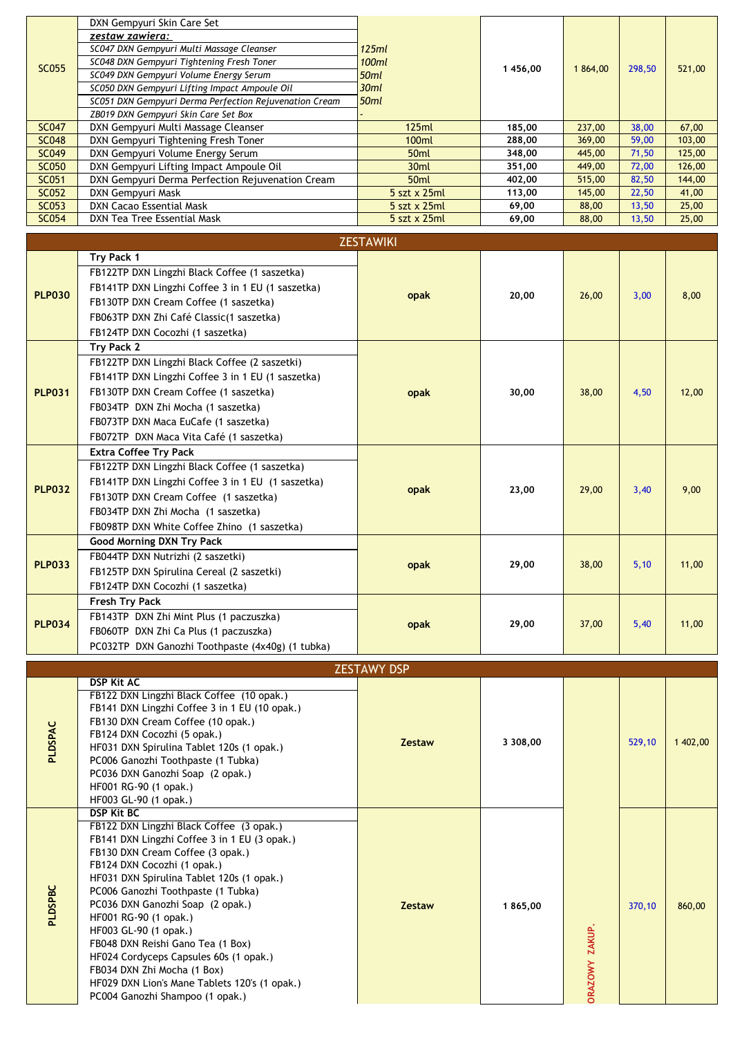|                  | DXN Gempyuri Skin Care Set                             |                     |         |          |        |        |  |
|------------------|--------------------------------------------------------|---------------------|---------|----------|--------|--------|--|
|                  | zestaw zawiera:                                        |                     |         |          |        |        |  |
|                  | SC047 DXN Gempyuri Multi Massage Cleanser              | 125ml               |         |          |        |        |  |
| <b>SC055</b>     | SC048 DXN Gempyuri Tightening Fresh Toner              | 100ml               |         |          |        |        |  |
|                  | SC049 DXN Gempyuri Volume Energy Serum                 | 50ml                | 1456,00 | 1 864,00 | 298,50 | 521,00 |  |
|                  | SC050 DXN Gempyuri Lifting Impact Ampoule Oil          | 30ml                |         |          |        |        |  |
|                  | SC051 DXN Gempyuri Derma Perfection Rejuvenation Cream | 50ml                |         |          |        |        |  |
|                  | ZB019 DXN Gempyuri Skin Care Set Box                   |                     |         |          |        |        |  |
| <b>SC047</b>     | DXN Gempyuri Multi Massage Cleanser                    | 125ml               | 185,00  | 237,00   | 38,00  | 67,00  |  |
| <b>SC048</b>     | DXN Gempyuri Tightening Fresh Toner                    | 100ml               | 288,00  | 369,00   | 59,00  | 103,00 |  |
| <b>SC049</b>     | DXN Gempyuri Volume Energy Serum                       | 50 <sub>ml</sub>    | 348,00  | 445,00   | 71,50  | 125,00 |  |
| <b>SC050</b>     | DXN Gempyuri Lifting Impact Ampoule Oil                | 30 <sub>ml</sub>    | 351,00  | 449,00   | 72,00  | 126,00 |  |
| <b>SC051</b>     | DXN Gempyuri Derma Perfection Rejuvenation Cream       | 50 <sub>ml</sub>    | 402,00  | 515,00   | 82,50  | 144,00 |  |
| SC052            | DXN Gempyuri Mask                                      | 5 szt $\times$ 25ml | 113,00  | 145,00   | 22,50  | 41,00  |  |
| SC053            | DXN Cacao Essential Mask                               | $5$ szt x 25ml      | 69,00   | 88,00    | 13,50  | 25,00  |  |
| SC054            | DXN Tea Tree Essential Mask                            | $5$ szt x 25ml      | 69,00   | 88,00    | 13,50  | 25,00  |  |
|                  |                                                        |                     |         |          |        |        |  |
| <b>ZESTAWIKI</b> |                                                        |                     |         |          |        |        |  |

|               |                                                                                                                                                                                                                                                                                                                                                              | <i><b>LESIAWINI</b></i> |          |       |        |          |
|---------------|--------------------------------------------------------------------------------------------------------------------------------------------------------------------------------------------------------------------------------------------------------------------------------------------------------------------------------------------------------------|-------------------------|----------|-------|--------|----------|
| <b>PLP030</b> | Try Pack 1<br>FB122TP DXN Lingzhi Black Coffee (1 saszetka)<br>FB141TP DXN Lingzhi Coffee 3 in 1 EU (1 saszetka)<br>FB130TP DXN Cream Coffee (1 saszetka)<br>FB063TP DXN Zhi Café Classic(1 saszetka)<br>FB124TP DXN Cocozhi (1 saszetka)                                                                                                                    | opak                    | 20,00    | 26,00 | 3,00   | 8,00     |
| <b>PLP031</b> | Try Pack 2<br>FB122TP DXN Lingzhi Black Coffee (2 saszetki)<br>FB141TP DXN Lingzhi Coffee 3 in 1 EU (1 saszetka)<br>FB130TP DXN Cream Coffee (1 saszetka)<br>FB034TP DXN Zhi Mocha (1 saszetka)<br>FB073TP DXN Maca EuCafe (1 saszetka)<br>FB072TP DXN Maca Vita Café (1 saszetka)                                                                           | opak                    | 30,00    | 38,00 | 4,50   | 12,00    |
| <b>PLP032</b> | <b>Extra Coffee Try Pack</b><br>FB122TP DXN Lingzhi Black Coffee (1 saszetka)<br>FB141TP DXN Lingzhi Coffee 3 in 1 EU (1 saszetka)<br>FB130TP DXN Cream Coffee (1 saszetka)<br>FB034TP DXN Zhi Mocha (1 saszetka)<br>FB098TP DXN White Coffee Zhino (1 saszetka)                                                                                             | opak                    | 23,00    | 29,00 | 3,40   | 9,00     |
| <b>PLP033</b> | Good Morning DXN Try Pack<br>FB044TP DXN Nutrizhi (2 saszetki)<br>FB125TP DXN Spirulina Cereal (2 saszetki)<br>FB124TP DXN Cocozhi (1 saszetka)                                                                                                                                                                                                              | opak                    | 29,00    | 38,00 | 5,10   | 11,00    |
| <b>PLP034</b> | <b>Fresh Try Pack</b><br>FB143TP DXN Zhi Mint Plus (1 paczuszka)<br>FB060TP DXN Zhi Ca Plus (1 paczuszka)<br>PC032TP DXN Ganozhi Toothpaste (4x40g) (1 tubka)                                                                                                                                                                                                | opak                    | 29,00    | 37,00 | 5,40   | 11,00    |
|               |                                                                                                                                                                                                                                                                                                                                                              | <b>ZESTAWY DSP</b>      |          |       |        |          |
| PLDSPAC       | <b>DSP Kit AC</b><br>FB122 DXN Lingzhi Black Coffee (10 opak.)<br>FB141 DXN Lingzhi Coffee 3 in 1 EU (10 opak.)<br>FB130 DXN Cream Coffee (10 opak.)<br>FB124 DXN Cocozhi (5 opak.)<br>HF031 DXN Spirulina Tablet 120s (1 opak.)<br>PC006 Ganozhi Toothpaste (1 Tubka)<br>PC036 DXN Ganozhi Soap (2 opak.)<br>HF001 RG-90 (1 opak.)<br>HF003 GL-90 (1 opak.) | <b>Zestaw</b>           | 3 308,00 |       | 529,10 | 1 402,00 |
|               | <b>DSP Kit BC</b>                                                                                                                                                                                                                                                                                                                                            |                         |          |       |        |          |

|         | PC036 DXN Ganozhi Soap (2 opak.)<br>HF001 RG-90 (1 opak.)<br>HF003 GL-90 (1 opak.)                                                                                                                                                                                                                                                                                                                                                                                                                                                                          |               |         |                         |        |        |  |
|---------|-------------------------------------------------------------------------------------------------------------------------------------------------------------------------------------------------------------------------------------------------------------------------------------------------------------------------------------------------------------------------------------------------------------------------------------------------------------------------------------------------------------------------------------------------------------|---------------|---------|-------------------------|--------|--------|--|
| PLDSPBC | <b>DSP Kit BC</b><br>FB122 DXN Lingzhi Black Coffee (3 opak.)<br>FB141 DXN Lingzhi Coffee 3 in 1 EU (3 opak.)<br>FB130 DXN Cream Coffee (3 opak.)<br>FB124 DXN Cocozhi (1 opak.)<br>HF031 DXN Spirulina Tablet 120s (1 opak.)<br>PC006 Ganozhi Toothpaste (1 Tubka)<br>PC036 DXN Ganozhi Soap (2 opak.)<br>HF001 RG-90 (1 opak.)<br>HF003 GL-90 (1 opak.)<br>FB048 DXN Reishi Gano Tea (1 Box)<br>HF024 Cordyceps Capsules 60s (1 opak.)<br>FB034 DXN Zhi Mocha (1 Box)<br>HF029 DXN Lion's Mane Tablets 120's (1 opak.)<br>PC004 Ganozhi Shampoo (1 opak.) | <b>Zestaw</b> | 1865,00 | ZAKUP.<br><b>RAZOWY</b> | 370,10 | 860,00 |  |
|         |                                                                                                                                                                                                                                                                                                                                                                                                                                                                                                                                                             |               |         |                         |        |        |  |
|         |                                                                                                                                                                                                                                                                                                                                                                                                                                                                                                                                                             |               |         |                         |        |        |  |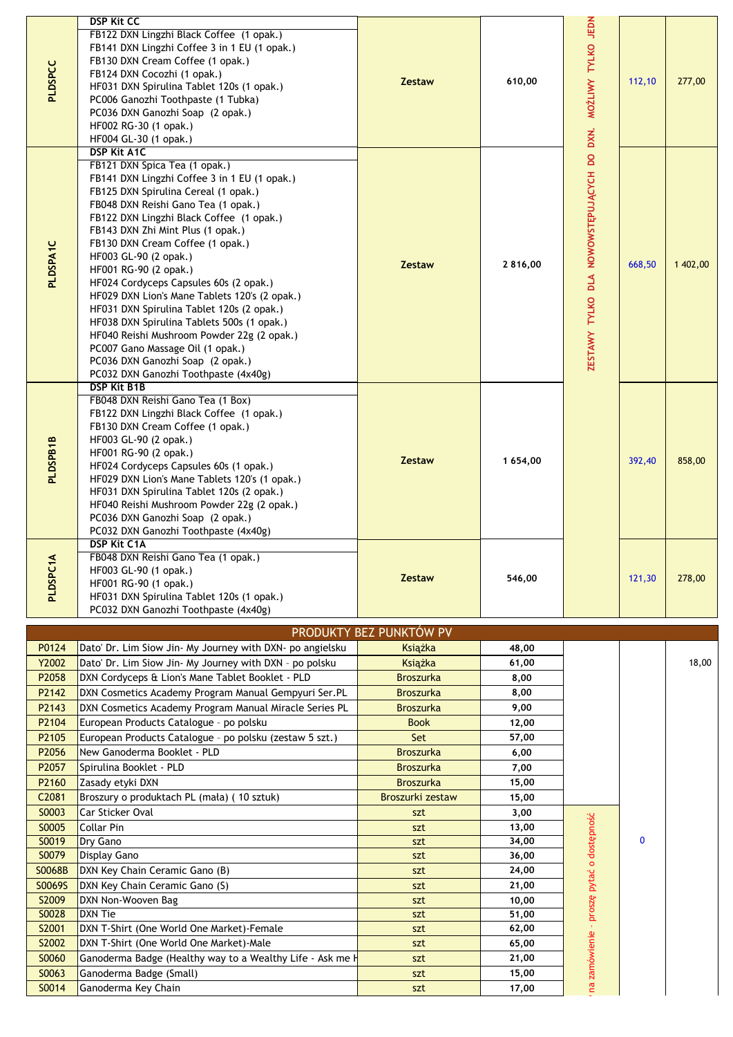| PLDSPCC               | <b>DSP Kit CC</b><br>FB122 DXN Lingzhi Black Coffee (1 opak.)<br>FB141 DXN Lingzhi Coffee 3 in 1 EU (1 opak.)<br>FB130 DXN Cream Coffee (1 opak.)<br>FB124 DXN Cocozhi (1 opak.)<br>HF031 DXN Spirulina Tablet 120s (1 opak.)<br>PC006 Ganozhi Toothpaste (1 Tubka)<br>PC036 DXN Ganozhi Soap (2 opak.)<br>HF002 RG-30 (1 opak.)<br>HF004 GL-30 (1 opak.)                                                                                                                                                                                                                                                                                                                                                     | <b>Zestaw</b>                        | 610,00         | <b>JEDN</b><br>MOŻLIWY TYLKO<br>DXN.     | 112,10 | 277,00   |
|-----------------------|---------------------------------------------------------------------------------------------------------------------------------------------------------------------------------------------------------------------------------------------------------------------------------------------------------------------------------------------------------------------------------------------------------------------------------------------------------------------------------------------------------------------------------------------------------------------------------------------------------------------------------------------------------------------------------------------------------------|--------------------------------------|----------------|------------------------------------------|--------|----------|
| PLDSPA1C              | <b>DSP Kit A1C</b><br>FB121 DXN Spica Tea (1 opak.)<br>FB141 DXN Lingzhi Coffee 3 in 1 EU (1 opak.)<br>FB125 DXN Spirulina Cereal (1 opak.)<br>FB048 DXN Reishi Gano Tea (1 opak.)<br>FB122 DXN Lingzhi Black Coffee (1 opak.)<br>FB143 DXN Zhi Mint Plus (1 opak.)<br>FB130 DXN Cream Coffee (1 opak.)<br>HF003 GL-90 (2 opak.)<br>HF001 RG-90 (2 opak.)<br>HF024 Cordyceps Capsules 60s (2 opak.)<br>HF029 DXN Lion's Mane Tablets 120's (2 opak.)<br>HF031 DXN Spirulina Tablet 120s (2 opak.)<br>HF038 DXN Spirulina Tablets 500s (1 opak.)<br>HF040 Reishi Mushroom Powder 22g (2 opak.)<br>PC007 Gano Massage Oil (1 opak.)<br>PC036 DXN Ganozhi Soap (2 opak.)<br>PC032 DXN Ganozhi Toothpaste (4x40g) | <b>Zestaw</b>                        | 2816,00        | NOWOWSTĘPUJĄCYCH DO<br>ZESTAWY TYLKO DLA | 668,50 | 1 402,00 |
| PLDSPB1B              | <b>DSP Kit B1B</b><br>FB048 DXN Reishi Gano Tea (1 Box)<br>FB122 DXN Lingzhi Black Coffee (1 opak.)<br>FB130 DXN Cream Coffee (1 opak.)<br>HF003 GL-90 (2 opak.)<br>HF001 RG-90 (2 opak.)<br>HF024 Cordyceps Capsules 60s (1 opak.)<br>HF029 DXN Lion's Mane Tablets 120's (1 opak.)<br>HF031 DXN Spirulina Tablet 120s (2 opak.)<br>HF040 Reishi Mushroom Powder 22g (2 opak.)<br>PC036 DXN Ganozhi Soap (2 opak.)<br>PC032 DXN Ganozhi Toothpaste (4x40g)                                                                                                                                                                                                                                                   | <b>Zestaw</b>                        | 1 654,00       |                                          | 392,40 | 858,00   |
| PLDSPC <sub>1A</sub>  | <b>DSP Kit C1A</b><br>FB048 DXN Reishi Gano Tea (1 opak.)<br>HF003 GL-90 (1 opak.)<br>HF001 RG-90 (1 opak.)<br>HF031 DXN Spirulina Tablet 120s (1 opak.)<br>PC032 DXN Ganozhi Toothpaste (4x40g)                                                                                                                                                                                                                                                                                                                                                                                                                                                                                                              | <b>Zestaw</b>                        | 546,00         |                                          | 121,30 | 278,00   |
|                       |                                                                                                                                                                                                                                                                                                                                                                                                                                                                                                                                                                                                                                                                                                               | PRODUKTY BEZ PUNKTÓW PV              |                |                                          |        |          |
| P0124                 | Dato' Dr. Lim Siow Jin- My Journey with DXN- po angielsku                                                                                                                                                                                                                                                                                                                                                                                                                                                                                                                                                                                                                                                     | <b>Książka</b>                       | 48,00          |                                          |        |          |
| Y2002                 | Dato' Dr. Lim Siow Jin- My Journey with DXN - po polsku                                                                                                                                                                                                                                                                                                                                                                                                                                                                                                                                                                                                                                                       | <b>Książka</b>                       | 61,00          |                                          |        | 18,00    |
| P2058                 | DXN Cordyceps & Lion's Mane Tablet Booklet - PLD                                                                                                                                                                                                                                                                                                                                                                                                                                                                                                                                                                                                                                                              | <b>Broszurka</b>                     | 8,00           |                                          |        |          |
| P2142<br>P2143        | DXN Cosmetics Academy Program Manual Gempyuri Ser.PL<br>DXN Cosmetics Academy Program Manual Miracle Series PL                                                                                                                                                                                                                                                                                                                                                                                                                                                                                                                                                                                                | <b>Broszurka</b><br><b>Broszurka</b> | 8,00<br>9,00   |                                          |        |          |
| P2104                 | European Products Catalogue - po polsku                                                                                                                                                                                                                                                                                                                                                                                                                                                                                                                                                                                                                                                                       | <b>Book</b>                          | 12,00          |                                          |        |          |
| P2105                 | European Products Catalogue - po polsku (zestaw 5 szt.)                                                                                                                                                                                                                                                                                                                                                                                                                                                                                                                                                                                                                                                       | Set                                  | 57,00          |                                          |        |          |
| P2056                 | New Ganoderma Booklet - PLD                                                                                                                                                                                                                                                                                                                                                                                                                                                                                                                                                                                                                                                                                   | <b>Broszurka</b>                     | 6,00           |                                          |        |          |
| P2057                 | Spirulina Booklet - PLD                                                                                                                                                                                                                                                                                                                                                                                                                                                                                                                                                                                                                                                                                       | <b>Broszurka</b>                     | 7,00           |                                          |        |          |
| P2160                 | Zasady etyki DXN                                                                                                                                                                                                                                                                                                                                                                                                                                                                                                                                                                                                                                                                                              | <b>Broszurka</b>                     | 15,00          |                                          |        |          |
| C2081                 | Broszury o produktach PL (mała) (10 sztuk)                                                                                                                                                                                                                                                                                                                                                                                                                                                                                                                                                                                                                                                                    | Broszurki zestaw                     | 15,00          |                                          |        |          |
| S0003                 | Car Sticker Oval                                                                                                                                                                                                                                                                                                                                                                                                                                                                                                                                                                                                                                                                                              | szt                                  | 3,00           |                                          |        |          |
| S0005<br>S0019        | Collar Pin<br>Dry Gano                                                                                                                                                                                                                                                                                                                                                                                                                                                                                                                                                                                                                                                                                        | szt<br>szt                           | 13,00<br>34,00 |                                          | 0      |          |
| S0079                 | Display Gano                                                                                                                                                                                                                                                                                                                                                                                                                                                                                                                                                                                                                                                                                                  | szt                                  | 36,00          |                                          |        |          |
| S0068B                | DXN Key Chain Ceramic Gano (B)                                                                                                                                                                                                                                                                                                                                                                                                                                                                                                                                                                                                                                                                                | szt                                  | 24,00          |                                          |        |          |
| S0069S                | DXN Key Chain Ceramic Gano (S)                                                                                                                                                                                                                                                                                                                                                                                                                                                                                                                                                                                                                                                                                | szt                                  | 21,00          |                                          |        |          |
| S2009                 | DXN Non-Wooven Bag                                                                                                                                                                                                                                                                                                                                                                                                                                                                                                                                                                                                                                                                                            | szt                                  | 10,00          | - proszę pytać o dostępność              |        |          |
| S0028                 | <b>DXN Tie</b>                                                                                                                                                                                                                                                                                                                                                                                                                                                                                                                                                                                                                                                                                                | szt                                  | 51,00          |                                          |        |          |
| S2001<br><b>S2002</b> | DXN T-Shirt (One World One Market)-Female<br>DXN T-Shirt (One World One Market)-Male                                                                                                                                                                                                                                                                                                                                                                                                                                                                                                                                                                                                                          | szt<br>szt                           | 62,00<br>65,00 |                                          |        |          |
| S0060                 | Ganoderma Badge (Healthy way to a Wealthy Life - Ask me H                                                                                                                                                                                                                                                                                                                                                                                                                                                                                                                                                                                                                                                     | szt                                  | 21,00          |                                          |        |          |
| S0063                 | Ganoderma Badge (Small)                                                                                                                                                                                                                                                                                                                                                                                                                                                                                                                                                                                                                                                                                       | szt                                  | 15,00          | na zamówienie                            |        |          |
| S0014                 | Ganoderma Key Chain                                                                                                                                                                                                                                                                                                                                                                                                                                                                                                                                                                                                                                                                                           | szt                                  | 17,00          |                                          |        |          |
|                       |                                                                                                                                                                                                                                                                                                                                                                                                                                                                                                                                                                                                                                                                                                               |                                      |                |                                          |        |          |